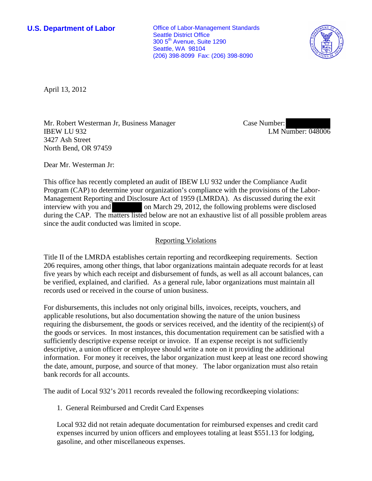**U.S. Department of Labor Office of Labor-Management Standards** Seattle District Office 300 5th Avenue, Suite 1290 Seattle, WA 98104 (206) 398-8099 Fax: (206) 398-8090



April 13, 2012

Mr. Robert Westerman Jr, Business Manager IBEW LU 932 3427 Ash Street North Bend, OR 97459

Case Number: LM Number: 048006

Dear Mr. Westerman Jr:

This office has recently completed an audit of IBEW LU 932 under the Compliance Audit Program (CAP) to determine your organization's compliance with the provisions of the Labor-Management Reporting and Disclosure Act of 1959 (LMRDA). As discussed during the exit interview with you and on March 29, 2012, the following problems were disclosed during the CAP. The matters listed below are not an exhaustive list of all possible problem areas since the audit conducted was limited in scope.

## Reporting Violations

Title II of the LMRDA establishes certain reporting and recordkeeping requirements. Section 206 requires, among other things, that labor organizations maintain adequate records for at least five years by which each receipt and disbursement of funds, as well as all account balances, can be verified, explained, and clarified. As a general rule, labor organizations must maintain all records used or received in the course of union business.

For disbursements, this includes not only original bills, invoices, receipts, vouchers, and applicable resolutions, but also documentation showing the nature of the union business requiring the disbursement, the goods or services received, and the identity of the recipient(s) of the goods or services. In most instances, this documentation requirement can be satisfied with a sufficiently descriptive expense receipt or invoice. If an expense receipt is not sufficiently descriptive, a union officer or employee should write a note on it providing the additional information. For money it receives, the labor organization must keep at least one record showing the date, amount, purpose, and source of that money. The labor organization must also retain bank records for all accounts.

The audit of Local 932's 2011 records revealed the following recordkeeping violations:

1. General Reimbursed and Credit Card Expenses

Local 932 did not retain adequate documentation for reimbursed expenses and credit card expenses incurred by union officers and employees totaling at least \$551.13 for lodging, gasoline, and other miscellaneous expenses.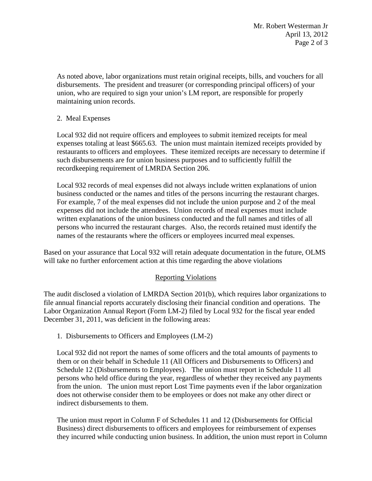As noted above, labor organizations must retain original receipts, bills, and vouchers for all disbursements. The president and treasurer (or corresponding principal officers) of your union, who are required to sign your union's LM report, are responsible for properly maintaining union records.

## 2. Meal Expenses

Local 932 did not require officers and employees to submit itemized receipts for meal expenses totaling at least \$665.63. The union must maintain itemized receipts provided by restaurants to officers and employees. These itemized receipts are necessary to determine if such disbursements are for union business purposes and to sufficiently fulfill the recordkeeping requirement of LMRDA Section 206.

Local 932 records of meal expenses did not always include written explanations of union business conducted or the names and titles of the persons incurring the restaurant charges. For example, 7 of the meal expenses did not include the union purpose and 2 of the meal expenses did not include the attendees. Union records of meal expenses must include written explanations of the union business conducted and the full names and titles of all persons who incurred the restaurant charges. Also, the records retained must identify the names of the restaurants where the officers or employees incurred meal expenses.

Based on your assurance that Local 932 will retain adequate documentation in the future, OLMS will take no further enforcement action at this time regarding the above violations

## Reporting Violations

The audit disclosed a violation of LMRDA Section 201(b), which requires labor organizations to file annual financial reports accurately disclosing their financial condition and operations. The Labor Organization Annual Report (Form LM-2) filed by Local 932 for the fiscal year ended December 31, 2011, was deficient in the following areas:

1. Disbursements to Officers and Employees (LM-2)

Local 932 did not report the names of some officers and the total amounts of payments to them or on their behalf in Schedule 11 (All Officers and Disbursements to Officers) and Schedule 12 (Disbursements to Employees). The union must report in Schedule 11 all persons who held office during the year, regardless of whether they received any payments from the union. The union must report Lost Time payments even if the labor organization does not otherwise consider them to be employees or does not make any other direct or indirect disbursements to them.

The union must report in Column F of Schedules 11 and 12 (Disbursements for Official Business) direct disbursements to officers and employees for reimbursement of expenses they incurred while conducting union business. In addition, the union must report in Column